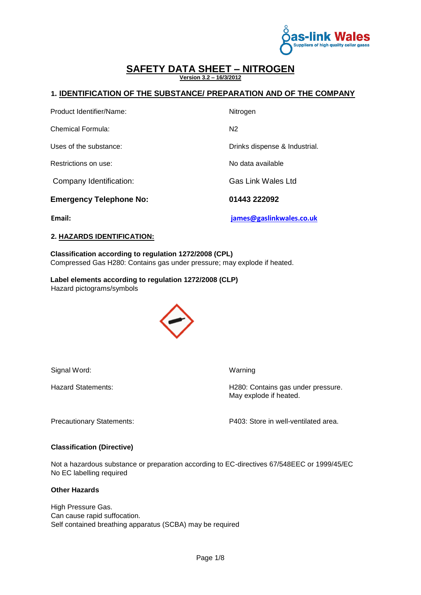

### **SAFETY DATA SHEET – NITROGEN Version 3.2 – 16/3/2012**

## **1. IDENTIFICATION OF THE SUBSTANCE/ PREPARATION AND OF THE COMPANY**

| Email:                         | james@gaslinkwales.co.uk      |
|--------------------------------|-------------------------------|
| <b>Emergency Telephone No:</b> | 01443 222092                  |
| Company Identification:        | <b>Gas Link Wales Ltd</b>     |
| Restrictions on use:           | No data available             |
| Uses of the substance:         | Drinks dispense & Industrial. |
| Chemical Formula:              | N <sub>2</sub>                |
| Product Identifier/Name:       | Nitrogen                      |

### **2. HAZARDS IDENTIFICATION:**

### **Classification according to regulation 1272/2008 (CPL)**  Compressed Gas H280: Contains gas under pressure; may explode if heated.

**Label elements according to regulation 1272/2008 (CLP)**  Hazard pictograms/symbols



Signal Word: Warning

Hazard Statements: **H280: Contains gas under pressure.** May explode if heated.

Precautionary Statements: P403: Store in well-ventilated area.

#### **Classification (Directive)**

Not a hazardous substance or preparation according to EC-directives 67/548EEC or 1999/45/EC No EC labelling required

#### **Other Hazards**

High Pressure Gas. Can cause rapid suffocation. Self contained breathing apparatus (SCBA) may be required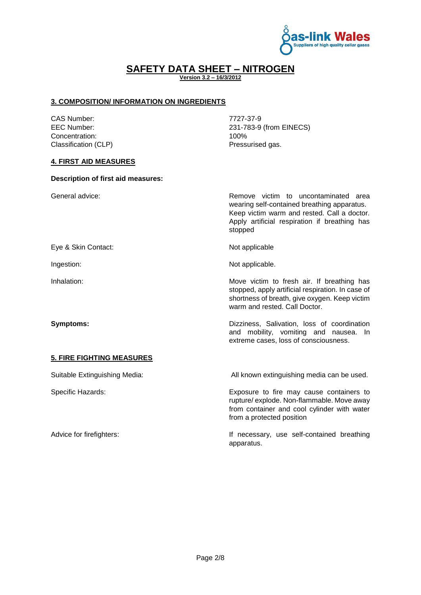

**Version 3.2 – 16/3/2012**

## **3. COMPOSITION/ INFORMATION ON INGREDIENTS**

CAS Number: 7727-37-9 Concentration: 100% Classification (CLP) **Pressurised gas.** 

EEC Number: 231-783-9 (from EINECS)

## **4. FIRST AID MEASURES**

### **Description of first aid measures:**

General advice: The content of the content of the Remove victim to uncontaminated area wearing self-contained breathing apparatus. Keep victim warm and rested. Call a doctor. Apply artificial respiration if breathing has stopped Eye & Skin Contact: Not applicable Ingestion: Not applicable. Inhalation: **Move victim to fresh air.** If breathing has stopped, apply artificial respiration. In case of shortness of breath, give oxygen. Keep victim warm and rested. Call Doctor. **Symptoms: Symptoms: Dizziness, Salivation, loss of coordination** and mobility, vomiting and nausea. In extreme cases, loss of consciousness. **5. FIRE FIGHTING MEASURES**  Suitable Extinguishing Media: All known extinguishing media can be used. Specific Hazards: Exposure to fire may cause containers to rupture/ explode. Non-flammable. Move away from container and cool cylinder with water from a protected position Advice for firefighters:  $\qquad \qquad$  If necessary, use self-contained breathing apparatus.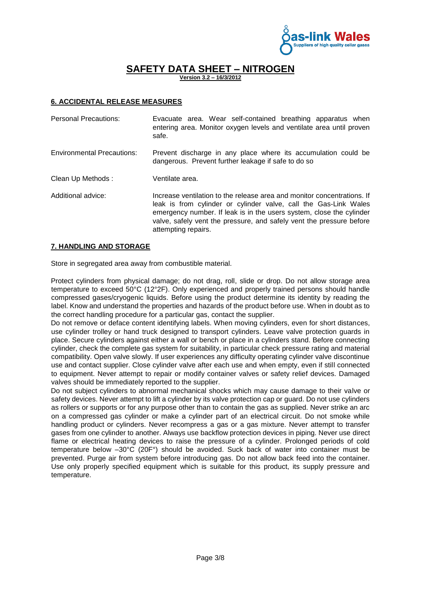

**SAFETY DATA SHEET – NITROGEN Version 3.2 – 16/3/2012**

## **6. ACCIDENTAL RELEASE MEASURES**

| <b>Personal Precautions:</b>      | Evacuate area. Wear self-contained breathing apparatus when<br>entering area. Monitor oxygen levels and ventilate area until proven<br>safe.                                                                                                                                                                       |
|-----------------------------------|--------------------------------------------------------------------------------------------------------------------------------------------------------------------------------------------------------------------------------------------------------------------------------------------------------------------|
| <b>Environmental Precautions:</b> | Prevent discharge in any place where its accumulation could be<br>dangerous. Prevent further leakage if safe to do so                                                                                                                                                                                              |
| Clean Up Methods:                 | Ventilate area.                                                                                                                                                                                                                                                                                                    |
| Additional advice:                | Increase ventilation to the release area and monitor concentrations. If<br>leak is from cylinder or cylinder valve, call the Gas-Link Wales<br>emergency number. If leak is in the users system, close the cylinder<br>valve, safely vent the pressure, and safely vent the pressure before<br>attempting repairs. |

### **7. HANDLING AND STORAGE**

Store in segregated area away from combustible material.

Protect cylinders from physical damage; do not drag, roll, slide or drop. Do not allow storage area temperature to exceed 50°C (12°2F). Only experienced and properly trained persons should handle compressed gases/cryogenic liquids. Before using the product determine its identity by reading the label. Know and understand the properties and hazards of the product before use. When in doubt as to the correct handling procedure for a particular gas, contact the supplier.

Do not remove or deface content identifying labels. When moving cylinders, even for short distances, use cylinder trolley or hand truck designed to transport cylinders. Leave valve protection guards in place. Secure cylinders against either a wall or bench or place in a cylinders stand. Before connecting cylinder, check the complete gas system for suitability, in particular check pressure rating and material compatibility. Open valve slowly. If user experiences any difficulty operating cylinder valve discontinue use and contact supplier. Close cylinder valve after each use and when empty, even if still connected to equipment. Never attempt to repair or modify container valves or safety relief devices. Damaged valves should be immediately reported to the supplier.

Do not subject cylinders to abnormal mechanical shocks which may cause damage to their valve or safety devices. Never attempt to lift a cylinder by its valve protection cap or guard. Do not use cylinders as rollers or supports or for any purpose other than to contain the gas as supplied. Never strike an arc on a compressed gas cylinder or make a cylinder part of an electrical circuit. Do not smoke while handling product or cylinders. Never recompress a gas or a gas mixture. Never attempt to transfer gases from one cylinder to another. Always use backflow protection devices in piping. Never use direct flame or electrical heating devices to raise the pressure of a cylinder. Prolonged periods of cold temperature below –30°C (20F°) should be avoided. Suck back of water into container must be prevented. Purge air from system before introducing gas. Do not allow back feed into the container. Use only properly specified equipment which is suitable for this product, its supply pressure and temperature.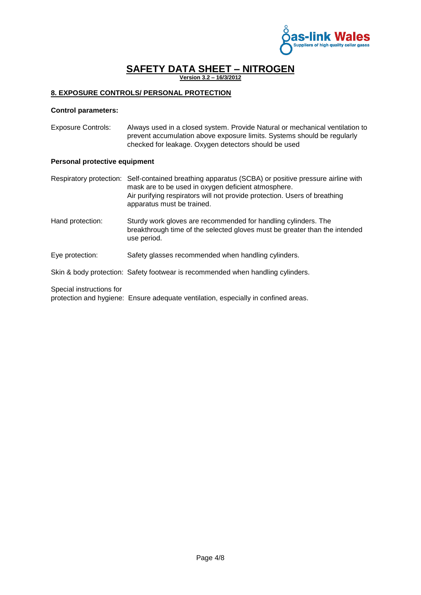

**SAFETY DATA SHEET – NITROGEN Version 3.2 – 16/3/2012**

## **8. EXPOSURE CONTROLS/ PERSONAL PROTECTION**

use period.

### **Control parameters:**

Exposure Controls: Always used in a closed system. Provide Natural or mechanical ventilation to prevent accumulation above exposure limits. Systems should be regularly checked for leakage. Oxygen detectors should be used

### **Personal protective equipment**

Respiratory protection: Self-contained breathing apparatus (SCBA) or positive pressure airline with mask are to be used in oxygen deficient atmosphere. Air purifying respirators will not provide protection. Users of breathing apparatus must be trained. Hand protection: Sturdy work gloves are recommended for handling cylinders. The breakthrough time of the selected gloves must be greater than the intended

Eye protection: Safety glasses recommended when handling cylinders.

Skin & body protection: Safety footwear is recommended when handling cylinders.

Special instructions for

protection and hygiene: Ensure adequate ventilation, especially in confined areas.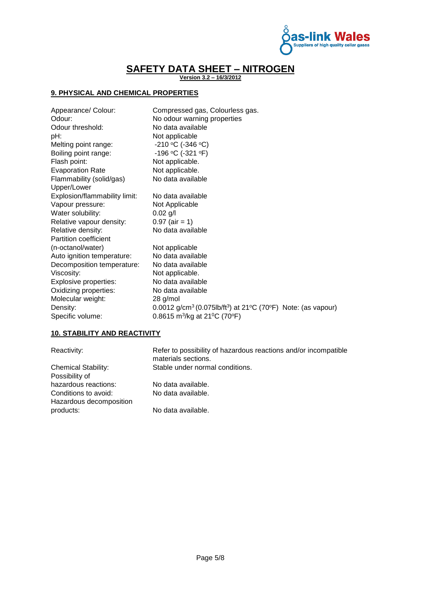

**Version 3.2 – 16/3/2012**

## **9. PHYSICAL AND CHEMICAL PROPERTIES**

| Appearance/ Colour:           | Compressed gas, Colourless gas.                                                                                |
|-------------------------------|----------------------------------------------------------------------------------------------------------------|
| Odour:                        | No odour warning properties                                                                                    |
| Odour threshold:              | No data available                                                                                              |
| pH:                           | Not applicable                                                                                                 |
| Melting point range:          | $-210$ °C ( $-346$ °C)                                                                                         |
| Boiling point range:          | $-196$ °C (-321 °F)                                                                                            |
| Flash point:                  | Not applicable.                                                                                                |
| <b>Evaporation Rate</b>       | Not applicable.                                                                                                |
| Flammability (solid/gas)      | No data available                                                                                              |
| Upper/Lower                   |                                                                                                                |
| Explosion/flammability limit: | No data available                                                                                              |
| Vapour pressure:              | Not Applicable                                                                                                 |
| Water solubility:             | $0.02$ g/l                                                                                                     |
| Relative vapour density:      | $0.97$ (air = 1)                                                                                               |
| Relative density:             | No data available                                                                                              |
| Partition coefficient         |                                                                                                                |
| (n-octanol/water)             | Not applicable                                                                                                 |
| Auto ignition temperature:    | No data available                                                                                              |
| Decomposition temperature:    | No data available                                                                                              |
| Viscosity:                    | Not applicable.                                                                                                |
| Explosive properties:         | No data available                                                                                              |
| Oxidizing properties:         | No data available                                                                                              |
| Molecular weight:             | 28 g/mol                                                                                                       |
| Density:                      | 0.0012 g/cm <sup>3</sup> (0.075lb/ft <sup>3</sup> ) at 21 <sup>o</sup> C (70 <sup>o</sup> F) Note: (as vapour) |
| Specific volume:              | 0.8615 m <sup>3</sup> /kg at 21 <sup>o</sup> C (70 <sup>o</sup> F)                                             |

## **10. STABILITY AND REACTIVITY**

| Reactivity:                | Refer to possibility of hazardous reactions and/or incompatible<br>materials sections. |
|----------------------------|----------------------------------------------------------------------------------------|
| <b>Chemical Stability:</b> | Stable under normal conditions.                                                        |
| Possibility of             |                                                                                        |
| hazardous reactions:       | No data available.                                                                     |
| Conditions to avoid:       | No data available.                                                                     |
| Hazardous decomposition    |                                                                                        |
| products:                  | No data available.                                                                     |
|                            |                                                                                        |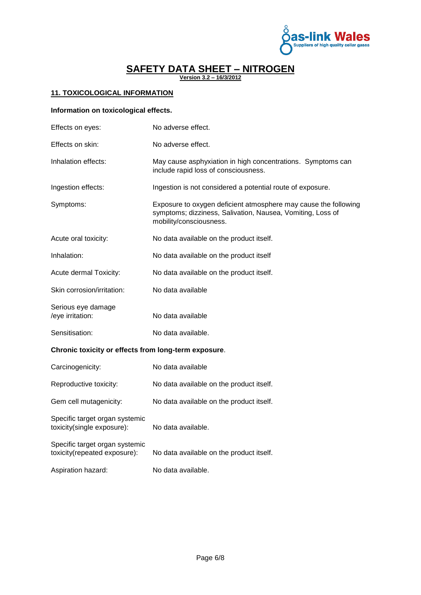

**Version 3.2 – 16/3/2012**

## **11. TOXICOLOGICAL INFORMATION**

## **Information on toxicological effects.**

| Effects on eyes:                                     | No adverse effect.                                                                                                                                       |
|------------------------------------------------------|----------------------------------------------------------------------------------------------------------------------------------------------------------|
| Effects on skin:                                     | No adverse effect.                                                                                                                                       |
| Inhalation effects:                                  | May cause asphyxiation in high concentrations. Symptoms can<br>include rapid loss of consciousness.                                                      |
| Ingestion effects:                                   | Ingestion is not considered a potential route of exposure.                                                                                               |
| Symptoms:                                            | Exposure to oxygen deficient atmosphere may cause the following<br>symptoms; dizziness, Salivation, Nausea, Vomiting, Loss of<br>mobility/consciousness. |
| Acute oral toxicity:                                 | No data available on the product itself.                                                                                                                 |
| Inhalation:                                          | No data available on the product itself                                                                                                                  |
| Acute dermal Toxicity:                               | No data available on the product itself.                                                                                                                 |
| Skin corrosion/irritation:                           | No data available                                                                                                                                        |
| Serious eye damage<br>/eye irritation:               | No data available                                                                                                                                        |
| Sensitisation:                                       | No data available.                                                                                                                                       |
| Chronic toxicity or effects from long-term exposure. |                                                                                                                                                          |
| Carcinogenicity:                                     | No data available                                                                                                                                        |

| Carcinogenicity:                                               | No data available                        |
|----------------------------------------------------------------|------------------------------------------|
| Reproductive toxicity:                                         | No data available on the product itself. |
| Gem cell mutagenicity:                                         | No data available on the product itself. |
| Specific target organ systemic<br>toxicity(single exposure):   | No data available.                       |
| Specific target organ systemic<br>toxicity(repeated exposure): | No data available on the product itself. |
| Aspiration hazard:                                             | No data available.                       |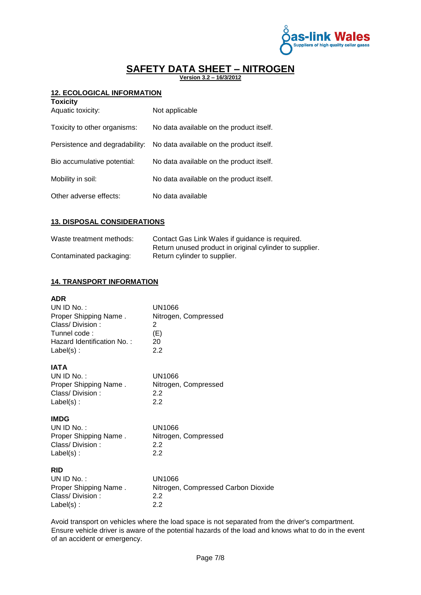

**Version 3.2 – 16/3/2012**

## **12. ECOLOGICAL INFORMATION**

| <b>Toxicity</b><br>Aquatic toxicity: | Not applicable                           |
|--------------------------------------|------------------------------------------|
| Toxicity to other organisms:         | No data available on the product itself. |
| Persistence and degradability:       | No data available on the product itself. |
| Bio accumulative potential:          | No data available on the product itself. |
| Mobility in soil:                    | No data available on the product itself. |
| Other adverse effects:               | No data available                        |

## **13. DISPOSAL CONSIDERATIONS**

| Waste treatment methods: | Contact Gas Link Wales if guidance is required.         |
|--------------------------|---------------------------------------------------------|
|                          | Return unused product in original cylinder to supplier. |
| Contaminated packaging:  | Return cylinder to supplier.                            |

## **14. TRANSPORT INFORMATION**

| <b>ADR</b><br>$UNID No.$ :<br>Proper Shipping Name.<br>Class/Division:<br>Tunnel code:<br>Hazard Identification No.:<br>$Label(s)$ : | UN1066<br>Nitrogen, Compressed<br>2<br>(E)<br>20<br>2.2     |
|--------------------------------------------------------------------------------------------------------------------------------------|-------------------------------------------------------------|
| <b>IATA</b><br>UN ID No.:<br>Proper Shipping Name.<br>Class/Division:<br>$Label(s)$ :                                                | UN1066<br>Nitrogen, Compressed<br>2.2<br>2.2                |
| <b>IMDG</b><br>UN ID No.:<br>Proper Shipping Name.<br>Class/Division:<br>$Label(s)$ :                                                | UN1066<br>Nitrogen, Compressed<br>2.2<br>2.2                |
| <b>RID</b><br>$UNID No.$ :<br>Proper Shipping Name.<br>Class/Division:<br>$Label(s)$ :                                               | UN1066<br>Nitrogen, Compressed Carbon Dioxide<br>2.2<br>2.2 |

Avoid transport on vehicles where the load space is not separated from the driver's compartment. Ensure vehicle driver is aware of the potential hazards of the load and knows what to do in the event of an accident or emergency.